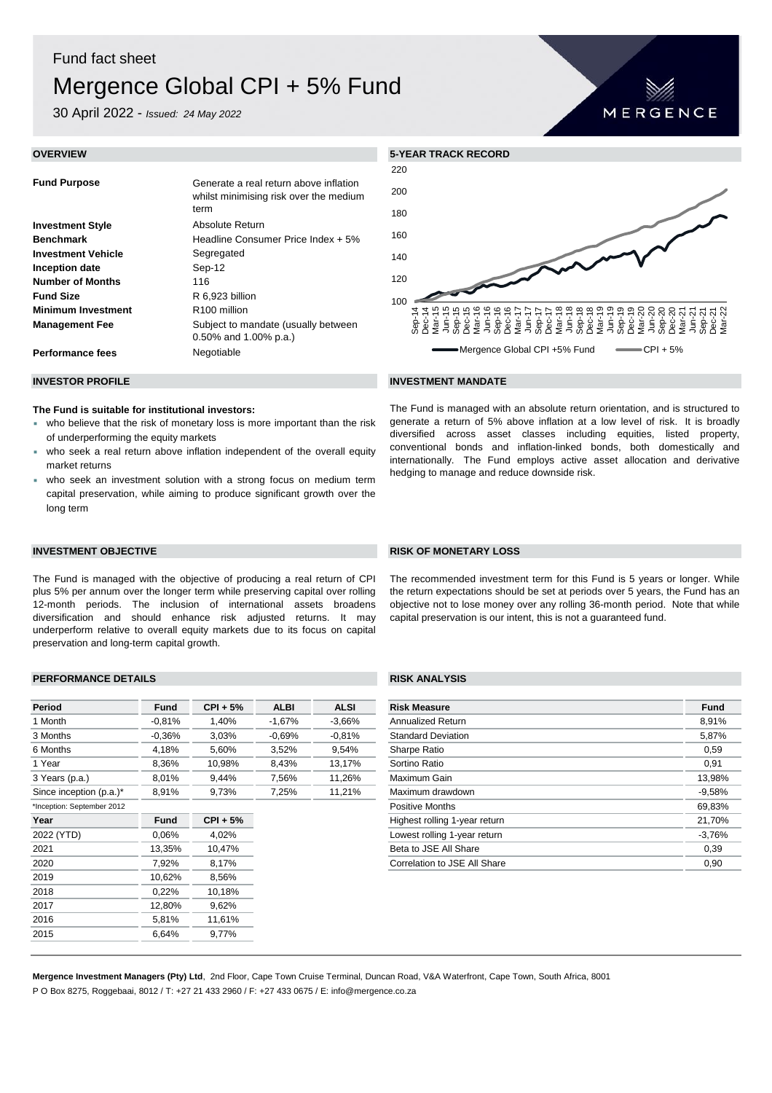## Fund fact sheet

# Mergence Global CPI + 5% Fund

30 April 2022 - *Issued: 24 May 2022*

| <b>Fund Purpose</b>       | Generate a real return above inflation<br>whilst minimising risk over the medium<br>term |
|---------------------------|------------------------------------------------------------------------------------------|
| <b>Investment Style</b>   | Absolute Return                                                                          |
| <b>Benchmark</b>          | Headline Consumer Price Index + 5%                                                       |
| <b>Investment Vehicle</b> | Segregated                                                                               |
| Inception date            | Sep-12                                                                                   |
| <b>Number of Months</b>   | 116                                                                                      |
| <b>Fund Size</b>          | R 6,923 billion                                                                          |
| <b>Minimum Investment</b> | R <sub>100</sub> million                                                                 |
| <b>Management Fee</b>     | Subject to mandate (usually between<br>$0.50\%$ and 1.00% p.a.)                          |
| <b>Performance fees</b>   | Negotiable                                                                               |



The Fund is managed with an absolute return orientation, and is structured to generate a return of 5% above inflation at a low level of risk. It is broadly diversified across asset classes including equities, listed property, conventional bonds and inflation-linked bonds, both domestically and internationally. The Fund employs active asset allocation and derivative

### **INVESTOR PROFILE INVESTMENT MANDATE**

hedging to manage and reduce downside risk.

**The Fund is suitable for institutional investors:**

- who believe that the risk of monetary loss is more important than the risk of underperforming the equity markets
- who seek a real return above inflation independent of the overall equity market returns
- who seek an investment solution with a strong focus on medium term capital preservation, while aiming to produce significant growth over the long term

The Fund is managed with the objective of producing a real return of CPI plus 5% per annum over the longer term while preserving capital over rolling 12-month periods. The inclusion of international assets broadens diversification and should enhance risk adjusted returns. It may underperform relative to overall equity markets due to its focus on capital preservation and long-term capital growth.

### **PERFORMANCE DETAILS RISK ANALYSIS**

| <b>Period</b>              | <b>Fund</b> | $CPI + 5%$ | <b>ALBI</b> | <b>ALSI</b>                   | <b>Risk Measure</b>          | <b>Fund</b> |
|----------------------------|-------------|------------|-------------|-------------------------------|------------------------------|-------------|
| 1 Month                    | $-0.81%$    | 1,40%      | -1,67%      | $-3,66%$                      | Annualized Return            | 8,91%       |
| 3 Months                   | $-0.36%$    | 3,03%      | $-0.69%$    | $-0.81\%$                     | <b>Standard Deviation</b>    | 5,87%       |
| 6 Months                   | 4,18%       | 5,60%      | 3,52%       | 9,54%                         | Sharpe Ratio                 | 0,59        |
| 1 Year                     | 8,36%       | 10,98%     | 8,43%       | 13,17%                        | Sortino Ratio                | 0,91        |
| 3 Years (p.a.)             | 8,01%       | 9,44%      | 7,56%       | 11,26%                        | Maximum Gain                 | 13,98%      |
| Since inception (p.a.)*    | 8,91%       | 9,73%      | 7,25%       | 11,21%                        | Maximum drawdown             | $-9,58%$    |
| *Inception: September 2012 |             |            |             |                               | <b>Positive Months</b>       | 69,839      |
| Year                       | <b>Fund</b> | $CPI + 5%$ |             | Highest rolling 1-year return |                              | 21,70%      |
| 2022 (YTD)                 | 0.06%       | 4,02%      |             |                               | $-3,76%$                     |             |
| 2021                       | 13,35%      | 10,47%     |             |                               | Beta to JSE All Share        | 0,39        |
| 2020                       | 7,92%       | 8,17%      |             |                               | Correlation to JSE All Share | 0,90        |
| 2019                       | 10,62%      | 8,56%      |             |                               |                              |             |
| 2018                       | 0,22%       | 10,18%     |             |                               |                              |             |
| 2017                       | 12,80%      | 9,62%      |             |                               |                              |             |
| 2016                       | 5,81%       | 11,61%     |             |                               |                              |             |
| 2015                       | 6,64%       | 9,77%      |             |                               |                              |             |

| Period                     | <b>Fund</b> | $CPI + 5%$ | <b>ALBI</b> | <b>ALSI</b> | <b>Risk Measure</b>           | <b>Fund</b> |
|----------------------------|-------------|------------|-------------|-------------|-------------------------------|-------------|
| 1 Month                    | $-0.81%$    | 1,40%      | $-1,67%$    | $-3,66%$    | Annualized Return             | 8,91%       |
| 3 Months                   | $-0.36\%$   | 3,03%      | $-0.69%$    | $-0.81%$    | <b>Standard Deviation</b>     | 5,87%       |
| 6 Months                   | 4,18%       | 5,60%      | 3,52%       | 9,54%       | Sharpe Ratio                  | 0,59        |
| 1 Year                     | 8,36%       | 10,98%     | 8,43%       | 13,17%      | Sortino Ratio                 | 0,91        |
| 3 Years (p.a.)             | 8,01%       | 9,44%      | 7,56%       | 11,26%      | Maximum Gain                  | 13,98%      |
| Since inception (p.a.)*    | 8,91%       | 9,73%      | 7,25%       | 11,21%      | Maximum drawdown              | $-9,58%$    |
| *Inception: September 2012 |             |            |             |             | <b>Positive Months</b>        | 69,83%      |
| Year                       | <b>Fund</b> | $CPI + 5%$ |             |             | Highest rolling 1-year return | 21,70%      |
| 2022 (YTD)                 | 0.06%       | 4,02%      |             |             | Lowest rolling 1-year return  | $-3.76%$    |
| 2021                       | 13,35%      | 10,47%     |             |             | Beta to JSE All Share         | 0,39        |
| 2020                       | 7,92%       | 8,17%      |             |             | Correlation to JSE All Share  | 0,90        |
|                            |             |            |             |             |                               |             |

**Mergence Investment Managers (Pty) Ltd**, 2nd Floor, Cape Town Cruise Terminal, Duncan Road, V&A Waterfront, Cape Town, South Africa, 8001 P O Box 8275, Roggebaai, 8012 / T: +27 21 433 2960 / F: +27 433 0675 / E: info@mergence.co.za

### **INVESTMENT OBJECTIVE RISK OF MONETARY LOSS**

The recommended investment term for this Fund is 5 years or longer. While the return expectations should be set at periods over 5 years, the Fund has an objective not to lose money over any rolling 36-month period. Note that while capital preservation is our intent, this is not a guaranteed fund.

## MERGENCE